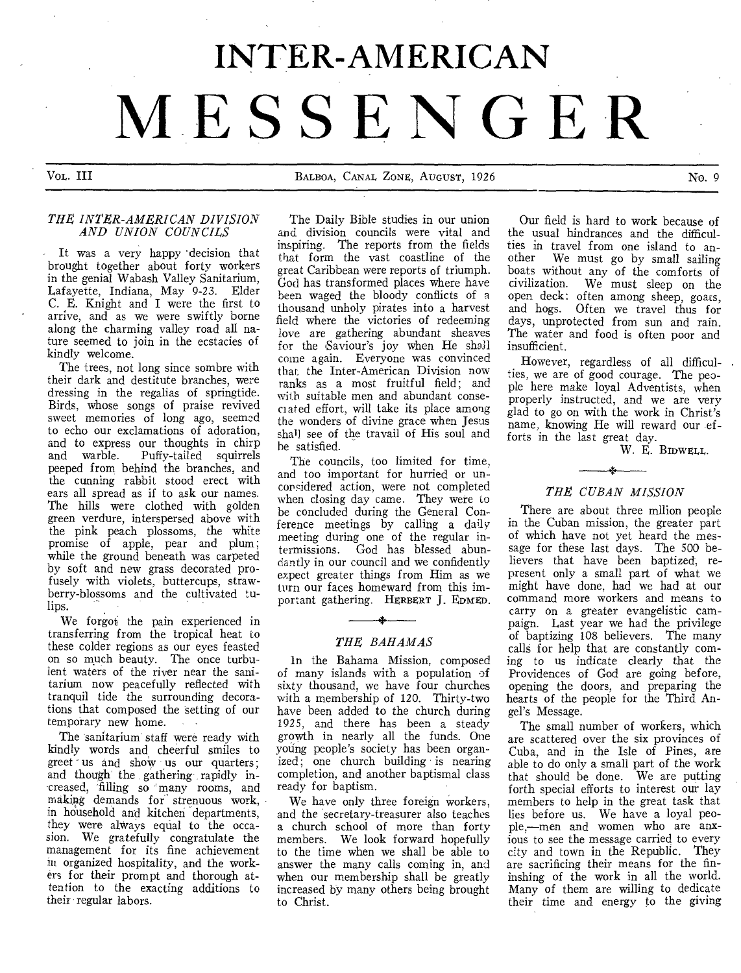# **INTER-AMERICAN MESSENGER**

Vol,. III BALBOA, CANAL ZONE, AUGUST, 1926 No. 9

#### *THE INTER-AMERICAN DIVISION AND UNION COUNCILS*

*-* It was a very happy 'decision that brought together about forty workers in the genial Wabash Valley Sanitarium, Lafayette, Indiana, May 9-23. Elder C. E. Knight and I were the first to arrive, and as we were swiftly borne along the charming valley road all nature seemed to join in the ecstacies of kindly welcome.

The trees, not long since sombre with their dark and destitute branches, were dressing in the regalias of springtide. Birds, whose songs of praise revived sweet memories of long ago, seemed to echo our exclamations of adoration, and to express our thoughts in chirp<br>and warble. Puffy-tailed squirrels Puffy-tailed squirrels peeped from behind the branches, and the cunning rabbit stood erect with ears all spread as if to ask our names. The hills were clothed with golden green verdure, interspersed above with the pink peach plossoms, the white promise of apple, pear and plum; while the ground beneath was carpeted by soft and new grass decorated profusely with violets, buttercups, strawberry-blossoms and the cultivated tulips.

We forgot; the pain experienced in transferring from the tropical heat to these colder regions as our eyes feasted on so much beauty. The once turbulent waters of the river near the sanitarium now peacefully reflected with tranquil tide the surrounding decorations that composed the setting of our temporary new home.

The sanitarium staff were ready with kindly words and cheerful smiles to greet us and shoW us our quarters; and though the gathering rapidly increased, filling so many rooms, and making demands for strenuous work, in household and kitchen departments, they were always equal to the occasion. We gratefully congratulate the management for its fine achievement in organized hospitality, and the workers for their prompt and thorough attention to the exacting additions to their regular labors.

The Daily Bible studies in our union and division councils were vital and inspiring. The reports from the fields that form the vast coastline of the great Caribbean were reports of triumph. God has transformed places where have been waged the bloody conflicts of a thousand unholy pirates into a harvest field where the victories of redeeming love are gathering abundant sheaves for the Saviour's joy when He shall come again. Everyone was convinced that the Inter-American Division now ranks as a most fruitful field; and with suitable men and abundant consecrated effort, will take its place among the wonders of divine grace when Jesus shall see of the travail of His soul and he satisfied.

The councils, too limited for time, and too important for hurried or unconsidered action, were not completed when closing day came. They were to be concluded during the General Conference meetings by calling a daily meeting during one of the regular intermissions. God has blessed abundantly in our council and we confidently expect greater things from Him as we turn our faces homeward from this important gathering. HERBERT J. EDMED.

# *THE BAHAMAS*

In the Bahama Mission, composed of many islands with a population of sixty thousand, we have four churches with a membership of 120. Thirty-two have been added to the church during 1925, and there has been a steady growth in nearly all the funds. One young people's society has been organized; one church building is nearing completion, and another baptismal class ready for baptism.

We have only three foreign workers, and the secretary-treasurer also teaches a church school of more than forty members. We look forward hopefully to the time when we shall be able to answer the many calls coming in, and when our membership shall be greatly increased by many others being brought to Christ.

Our field is hard to work because of the usual hindrances and the difficulties in travel from one island to another We must go by small sailing boats without any of the comforts of civilization. We must sleep on the open deck: often among sheep, goats, and hogs. Often we travel thus for days, unprotected from sun and rain. The water and food is often poor and insufficient.

However, regardless of all difficulties, we are of good courage. The people here make loyal Adventists, when properly instructed, and we are very glad to go on with the work in Christ's name, knowing He will reward our efforts in the last great day.

W. E. BinwELL.

# *THE CUBAN MISSION*

There are about three mllion people in the Cuban mission, the greater part of which have not yet heard the message for these last days. The 500 believers that have been baptized, represent only a small part of what we might have done, had we had at our command more workers and means to carry on a greater evangelistic campaign. Last year we had the privilege of baptizing 108 believers. The many calls for help that are constantly coming to us indicate clearly that the Providences of God are going before, opening the doors, and preparing the hearts of the people for the Third Angel's Message.

The small number of workers, which are scattered over the six provinces of Cuba, and in the Isle of Pines, are able to do only a small part of the work that should be done. We are putting forth special efforts to interest our lay members to help in the great task that lies before us. We have a loyal people,—men and women who are anxious to see the message carried to every city and town in the Republic. They are sacrificing their means for the fininshing of the work in all the world. Many of them are willing to dedicate their time and energy to the giving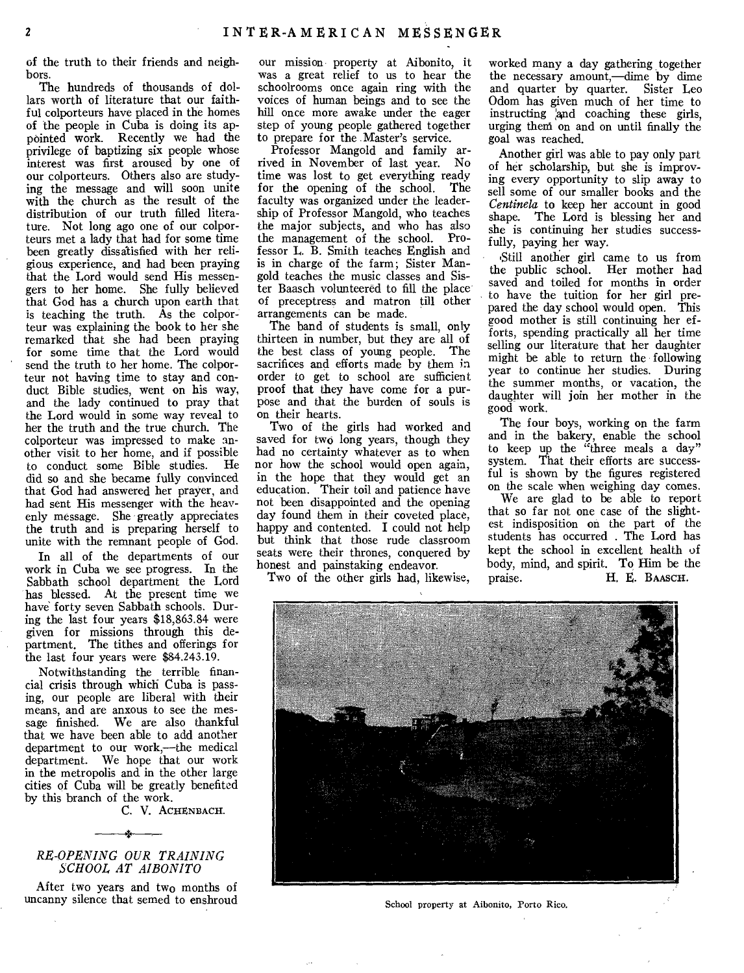of the truth to their friends and neighbors.

The hundreds of thousands of dollars worth of literature that our faithful colporteurs have placed in the homes of the people in Cuba is doing its appointed work. Recently we had the privilege of baptizing six people whose interest was first aroused by one of our colporteurs. Others also are studying the message and will soon unite with the church as the result of the distribution of our truth filled literature. Not long ago one of our colporteurs met a lady that had for some time been greatly dissalisfied with her religious experience, and had been praying that the Lord would send His messengers to her home. She fully believed that God has a church upon earth that is teaching the truth. As the colporteur was explaining the book to her she remarked that she had been praying for some time that the Lord would send the truth to her home. The colporteur not having time to stay and conduct Bible studies, went on his way, and the lady continued to pray that the Lord would in some way reveal to her the truth and the true church. The colporteur was impressed to make another visit to her home, and if possible to conduct some Bible studies. He did so and she became fully convinced that God had answered her prayer, and had sent His messenger with the heavenly message. She greatly appreciates the truth and is preparing herself to unite with the remnant people of God.

In all of the departments of our work in Cuba we see progress. In the Sabbath school department the Lord has blessed. At the present time we have forty seven Sabbath schools. During the last four years \$18,863.84 were given for missions through this department. The tithes and offerings for the last four years were \$84.243.19.

Notwithstanding the terrible financial crisis through which Cuba is passing, our people are liberal with their means, and are anxous to see the message finished. We are also thankful that we have been able to add another department to our work,—the medical department. We hope that our work in the metropolis and in the other large cities of Cuba will be greatly benefited by this branch of the work.

C. V. ACHENBACH.

# *RE-OPENING OUR TRAINING SCHOOL AT AIBONITO*

After two years and two months of uncanny silence that semed to enshroud our mission property at Aibonito, it was a great relief to us to hear the schoolrooms once again ring with the voices of human beings and to see the hill once more awake under the eager step of young people gathered together to prepare for the Master's service.

Professor Mangold and family arrived in November of last year. No time was lost to get everything ready for the opening of the school. The faculty was organized under the leadership of Professor Mangold, who teaches the major subjects, and who has also the management of the school. Professor L. B. Smith teaches English and is in charge of the farm; Sister Mangold teaches the music classes and Sister Baasch volunteered to fill the place of preceptress and matron till other arrangements can be made.

The band of students is small, only thirteen in number, but they are all of the best class of young people. The sacrifices and efforts made by them in order to get to school are sufficient proof that they have come for a purpose and that the burden of souls is on their hearts.

Two of the girls had worked and saved for two long years, though they had no certainty whatever as to when nor how the school would open again, in the hope that they would get an education. Their toil and patience have not been disappointed and the opening day found them in their coveted place, happy and contented. I could not help but think that those rude classroom seats were their thrones, conquered by honest and painstaking endeavor.

Two of the other girls had, likewise,

worked many a day gathering together the necessary amount,—dime by dime and quarter by quarter. Sister Leo Odom has given much of her time to instructing and coaching these girls, urging theni on and on until finally the goal was reached.

Another girl was able to pay only part of her scholarship, but she is improving every opportunity to slip away to sell some of our smaller books and the *Centinela* to keep her account in good shape. The Lord is blessing her and she is continuing her studies successfully, paying her way.

'Still another girl came to us from the public school. Her mother had saved and toiled for months in order to have the tuition for her girl prepared the day school would open. This good mother is still continuing her efforts, spending practically all her time selling our literature that her daughter might be able to return the following year to continue her studies. During the summer months, or vacation, the daughter will join her mother in the good work.

The four boys, working on the farm and in the bakery, enable the school to keep up the "three meals a day" system. That their efforts are successful is shown by the figures registered on the scale when weighing day comes.

We are glad to be able to report that so far not one case of the slightest indisposition on the part of the students has occurred . The Lord has kept the school in excellent health of body, mind, and spirit. To Him be the praise. H. E. BAASCH.



School property at Aibonito, Porto Rico.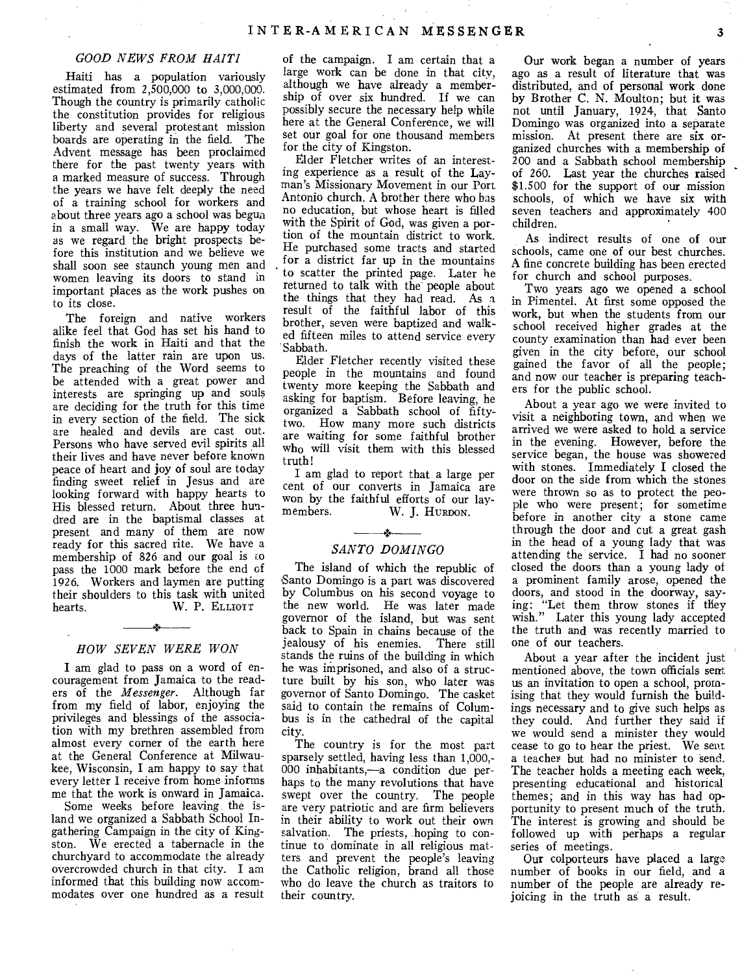#### *GOOD NEWS FROM HAITI*

Haiti has a population variously estimated from 2,500,000 to 3,000,000. Though the country is primarily catholic the constitution provides for religious liberty and several protestant mission boards are operating in the field. The Advent message has been proclaimed there for the past twenty years with a marked measure of success. Through the years we have felt deeply the need of a training school for workers and about three years ago a school was begun in a small way. We are happy today as we regard the bright prospects before this institution and we believe we shall soon see staunch young men and women leaving its doors to stand in important places as the work pushes on to its close.

The foreign and native workers alike feel that God has set his hand to finish the work in Haiti and that the days of the latter rain are upon us. The preaching of the Word seems to be attended with a great power and interests are springing up and souls are deciding for the truth for this time in every section of the field. The sick are healed and devils are cast out. Persons who have served evil spirits all their lives and have never before known peace of heart and joy of soul are today finding sweet relief in Jesus and are looking forward with happy hearts to His blessed return. About three hundred are in the baptismal classes at present and many of them are now ready for this sacred rite. We have a membership of 826 and our goal is to pass the 1000 mark before the end cf 1926. Workers and laymen are putting their shoulders to this task with united<br>hearts. W. P. ELLIOTT W. P. ELLIOTT

#### *HOW SEVEN WERE WON*

I am glad to pass on a word of encouragement from Jamaica to the readers of the *Messenger.* Although far from my field of labor, enjoying the privileges and blessings of the association with my brethren assembled from almost every corner of the earth here at the General Conference at Milwaukee, Wisconsin, I am happy to say that every letter I receive from home informs me that the work is onward in Jamaica.

Some weeks before leaving the island we organized a Sabbath School Ingathering Campaign in the city of Kingston. We erected a tabernacle in the churchyard to accommodate the already overcrowded church in that city. I am informed that this building now accommodates over one hundred as a result

of the campaign. I am certain that a large work can be done in that city, although we have already a membership of over six hundred. If we can possibly secure the necessary help while here at the General Conference, we will set our goal for one thousand members for the city of Kingston.

Elder Fletcher writes of an interesting experience as a result of the Layman's Missionary Movement in our Port Antonio church. A brother there who has no education, but whose heart is filled with the Spirit of God, was given a portion of the mountain district to work. He purchased some tracts and started for a district far up in the mountains to scatter the printed page. Later he returned to talk with the people about the things that they had read. As a result of the faithful labor of this brother, seven were baptized and walked fifteen miles to attend service every Sabbath.

Elder Fletcher recently visited these people in the mountains and found twenty more keeping the Sabbath and asking for baptism. Before leaving, he organized a Sabbath school of fiftytwo. How many more such districts are waiting for some faithful brother who will visit them with this blessed truth!

I am glad to report that a large per cent of our converts in Jamaica are won by the faithful efforts of our lay-<br>members. W. J. HURDON. W. J. HURDON.

# $\mathbf{A}$ *SANTO DOMINGO*

The island of which the republic of 'Santo Domingo is a part was discovered by Columbus on his second voyage to the new world. He was later made governor of the island, but was sent back to Spain in chains because of the jealousy of his enemies. There still stands the ruins of the building in which he was imprisoned, and also of a structure built by his son, who later was governor of Santo Domingo. The casket said to contain the remains of Columbus is in the cathedral of the capital city.

The country is for the most part sparsely settled, having less than 1,000,- 000 inhabitants,—a condition due perhaps to the many revolutions that have swept over the country. The people are very patriotic and are firm believers in their ability to work out their own salvation. The priests, hoping to continue to dominate in all religious mat• ters and prevent the people's leaving the Catholic religion, brand all those who do leave the church as traitors to their country.

Our work began a number of years ago as a result of literature that was distributed, and of personal work done by Brother C. N. Moulton; but it was not until January, 1924, that Santo Domingo was organized into a separate mission. At present there are six organized churches with a membership of 200 and a Sabbath school membership of 260. Last year the churches raised \$1.500 for the support of our mission schools, of which we have six with seven teachers and approximately 400 children.

As indirect results of one of our schools, came one of our best churches. A fine concrete building has been erected for church and school purposes.

Two years ago we opened a school in Pimentel. At first some opposed the work, but when the students from our school received higher grades at the county examination than had ever been given in the city before, our school gained the favor of all the people; and now our teacher is preparing teachers for the public school.

About a year ago we were invited to visit a neighboring town, and when we arrived we were asked to hold a service in the evening. However, before the service began, the house was showered with stones. Immediately I closed the door on the side from which the stones were thrown so as to protect the people who were present; for sometime before in another city a stone came through the door and cut a great gash in the head of a young lady that was attending the service. I had no sooner closed the doors than a young lady of a prominent family arose, opened the doors, and stood in the doorway, saying: "Let them throw stones if they wish." Later this young lady accepted the truth and was recently married to one of our teachers.

About a year after the incident just mentioned above, the town officials sent us an invitation to open a school, promising that they would furnish the buildings necessary and to give such helps as they could. And further they said if we would send a minister they would cease to go to hear the priest. We sent a teaches but had no minister to send. The teacher holds a meeting each week, presenting educational and historical themes; and in this way has had opportunity to present much of the truth. The interest is growing and should be followed up with perhaps a regular series of meetings.

Our colporteurs have placed a large number of books in our field, and a number of the people are already rejoicing in the truth as a result.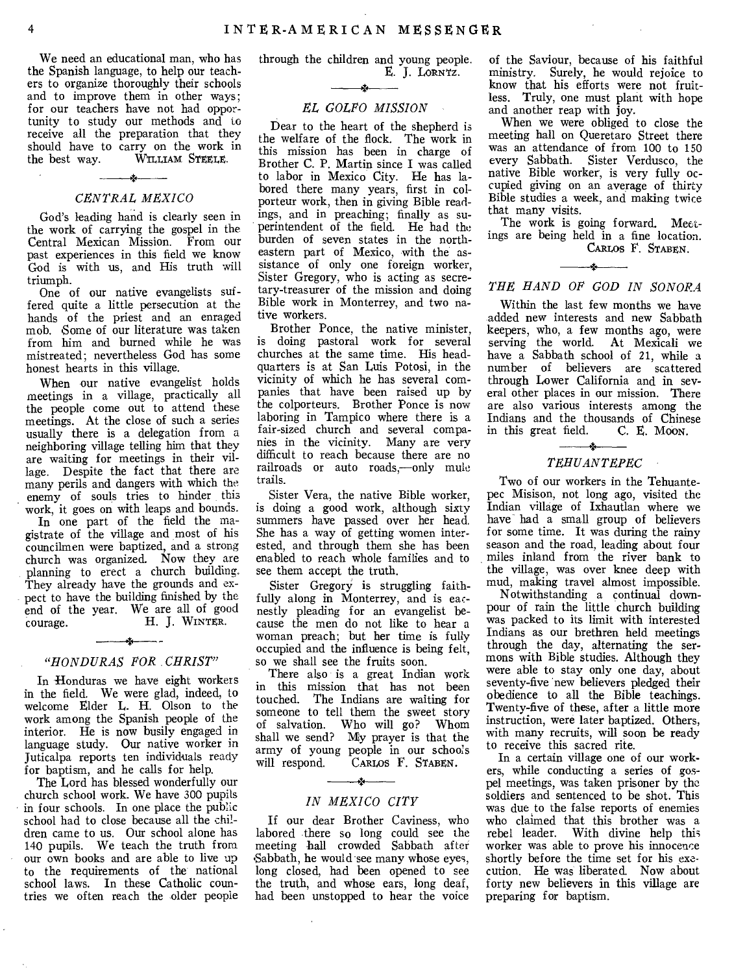We need an educational man, who has the Spanish language, to help our teachers to organize thoroughly their schools and to improve them in other ways; for our teachers have not had opportunity to study our methods and to receive all the preparation that they should have to carry on the work in the best way. WILLIAM STEELE. WILLIAM STEELE.

# ستخب *CENTRAL MEXICO*

God's leading hand is clearly seen in the work of carrying the gospel in the Central Mexican Mission. From our past experiences in this field we know God is with us, and His truth will triumph.

One of our native evangelists suffered quite a little persecution at the hands of the priest and an enraged mob. Some of our literature was taken from him and burned while he was mistreated; nevertheless God has some honest hearts in this village.

When our native evangelist holds meetings in a village, practically all the people come out to attend these meetings. At the close of such a series usually there is a delegation from a neighboring village telling him that they are waiting for meetings in their village. Despite the fact that there are many perils and dangers with which the enemy of souls tries to hinder this work, it goes on with leaps and bounds.

In one part of the field the magistrate of the village and most of his councilmen were baptized, and a strong church was organized. Now they are planning to erect a church building. They already have the grounds and expect to have the building finished by the end of the year. We are all of good courage. H. J. WINTER. courage. H. **J. WINTER.** 

# $\overline{\phantom{a}}$ *"HONDURAS FOR CHRIST"*

In Honduras we have eight workers in the field. We were glad, indeed, to welcome Elder L. H. Olson to the work among the Spanish people of the interior. He is now busily engaged in language study. Our native worker in Juticalpa reports ten individuals ready for baptism, and he calls for help.

The Lord has blessed wonderfully our church school work. We have 300 pupils in four schools. In one place the public school had to close because all the children came to us. Our school alone has 140 pupils. We teach the truth from our own books and are able to live up to the requirements of the national school laws. In these Catholic countries we often reach the older people through the children and young people. E. **J.** LORNTZ.

## *EL GOLFO MISSION*

Dear to the heart of the shepherd is the welfare of the flock. The work in this mission has been in charge of Brother C. P. Martin since I was called to labor in Mexico City. He has labored there many years, first in colporteur work, then in giving Bible readings, and in preaching; finally as superintendent of the field. He had the burden of seven states in the northeastern part of Mexico, with the assistance of only one foreign worker, Sister Gregory, who is acting as secretary-treasurer of the mission and doing Bible work in Monterrey, and two native workers.

Brother Ponce, the native minister, is doing pastoral work for several churches at the same time. His headquarters is at San Luis Potosi, in the vicinity of which he has several companies that have been raised up by the colporteurs. Brother Ponce is now laboring in Tampico where there is a fair-sized church and several companies in the vicinity. Many are very difficult to reach because there are no railroads or auto roads,—only mule trails.

Sister Vera, the native Bible worker, is doing a good work, although sixty summers have passed over her head. She has a way of getting women interested, and through them she has been enabled to reach whole families and to see them accept the truth.

Sister Gregory is struggling faithfully along in Monterrey, and is eacnestly pleading for an evangelist because the men do not like to hear a woman preach; but her time is fully occupied and the influence is being felt, so we shall see the fruits soon.

There also is a great Indian work in this mission that has not been touched. The Indians are waiting for someone to tell them the sweet story of salvation. Who will go? Whom shall we send? My prayer is that the army of young people in our schools<br>will respond. CARLOS F. STABEN. CARLOS F. STABEN.

# $\rightarrow$ *IN MEXICO CITY*

If our dear Brother Caviness, who labored there so long could see the meeting hall crowded Sabbath after Sabbath, he would see many whose eyes, long closed, had been opened to see the truth, and whose ears, long deaf, had been unstopped to hear the voice

of the Saviour, because of his faithful ministry. Surely, he would rejoice to know that his efforts were not fruitless. Truly, one must plant with hope and another reap with joy.

When we were obliged to close the meeting hall on Queretaro Street there was an attendance of from 100 to 150 every Sabbath. Sister Verdusco, the native Bible worker, is very fully occupied giving on an average of thirty Bible studies a week, and making twice that many visits.

The work is going forward. Meetings are being held in a fine location. CARLos F. STABEN.

j.

# *THE HAND OF GOD IN SONORA*

Within the last few months we have added new interests and new Sabbath keepers, who, a few months ago, were serving the world. At Mexicali we have a Sabbath school of 21, while a number of believers are scattered through Lower California and in several other places in our mission. There are also various interests among the Indians and the thousands of Chinese<br>in this great field. C. E. Moon. in this great field.

#### *TEHUANTEPEC*

Two of our workers in the Tehuantepec Misison, not long ago, visited the Indian village of Ixhautlan where we have had a small group of believers for some time. It was during the rainy season and the road, leading about four miles inland from the river bank to the village, was over knee deep with mud, making travel almost impossible.

Notwithstanding a continual downpour of rain the little church building was packed to its limit with interested Indians as our brethren held meetings through the day, alternating the sermons with Bible studies. Although they were able to stay only one day, about seventy-five new believers pledged their obedience to all the Bible teachings. Twenty-five of these, after a little more instruction, were later baptized. Others, with many recruits, will soon be ready to receive this sacred rite.

In a certain village one of our workers, while conducting a series of gospel meetings, was taken prisoner by the soldiers and sentenced to be shot. This was due to the false reports of enemies who claimed that this brother was a rebel leader. With divine help this worker was able to prove his innocence shortly before the time set for his execution. He was liberated. Now about forty new believers in this village are preparing for baptism.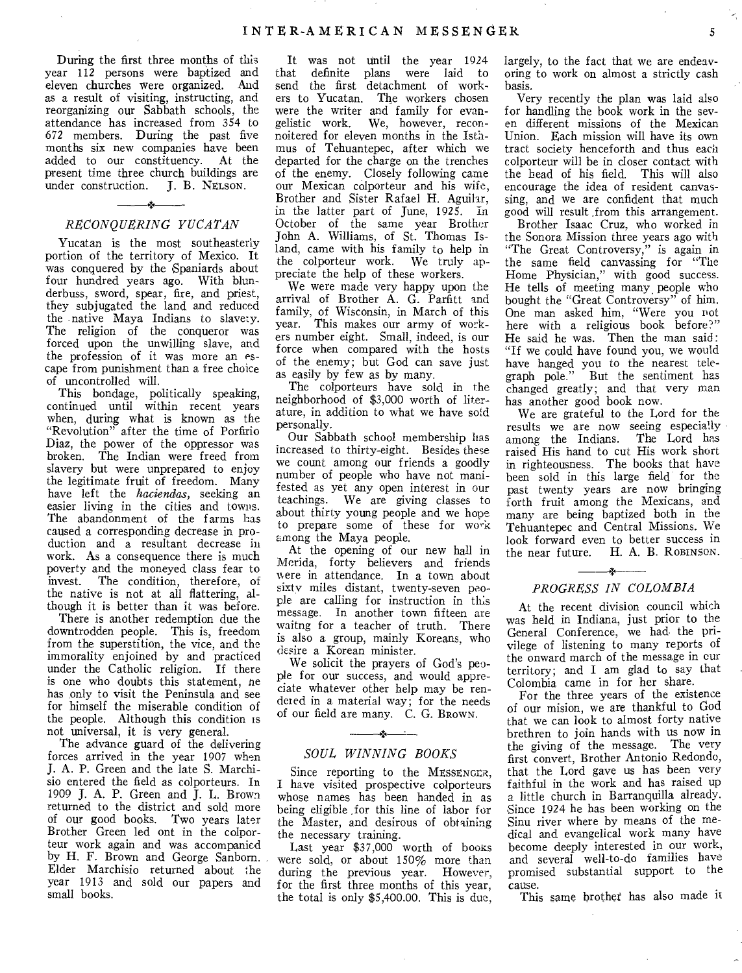During the first three months of this year 112 persons were baptized and eleven churches were organized. And as a result of visiting, instructing, and reorganizing our Sabbath schools, the attendance has increased from 354 to 672 members. During the past five months six new companies have been added to our constituency. At the present time three church buildings are<br>under construction. J. B. NELSON. under construction.

# —\*— *RECONQUERING YUCATAN*

Yucatan is the most southeasterly portion of the territory of Mexico. It was conquered by the Spaniards about four hundred years ago. With blunderbuss, sword, spear, fire, and priest, they subjugated the land and reduced the native Maya Indians to slavery. The religion of the conqueror was forced upon the unwilling slave, and the profession of it was more an escape from punishment than a free choice of uncontrolled will.

This bondage, politically speaking, continued until within recent years when, during what is known as the "Revolution" after the time of Porfirio Diaz, the power of the oppressor was broken. The Indian were freed from slavery but were unprepared to enjoy the legitimate fruit of freedom. Many have left the *haciendas,* seeking an easier living in the cities and towns. The abandonment of the farms has caused a corresponding decrease in production and a resultant decrease in work. As a consequence there is much poverty and the moneyed class fear to invest. The condition, therefore, of the native is not at all flattering, although it is better than it was before.

There is another redemption due the downtrodden people. This is, freedom from the superstition, the vice, and the immorality enjoined by and practiced under the Catholic religion. If there is one who doubts this statement, ne has only to visit the Peninsula and see for himself the miserable condition of the people. Although this condition is not universal, it is very general.

The advance guard of the delivering forces arrived in the year 1907 when J. A. P. Green and the late S. Marchisio entered the field as colporteurs. In 1909 J. A. P. Green and J. L. Brown returned to the district and sold more of our good books. Two years later Brother Green led ont in the colporteur work again and was accompanied by H. F. Brown and George Sanborn. Elder Marchisio returned about the year 1913 and sold our papers and small books.

It was not until the year 1924 that definite plans were laid to send the first detachment of workers to Yucatan. The workers chosen were the writer and family for evangelistic work. We, however, reconnoitered for eleven months in the Isthmus of Tehuantepec, after which we departed for the charge on the trenches of the enemy. Closely following came our Mexican colporteur and his wife, Brother and Sister Rafael H. Aguilar, in the latter part of June, 1925. In October of the same year Brother John A. Williams, of St. Thomas Island, came with his family to help in the colporteur work. We truly appreciate the help of these workers.

We were made very happy upon the arrival of Brother A. G. Parfitt and family, of Wisconsin, in March of this year. This makes our army of workers number eight. Small, indeed, is our force when compared with the hosts of the enemy; but God can save just as easily by few as by many.

The colporteurs have sold in the neighborhood of \$3,000 worth of literature, in addition to what we have sold personally.

Our Sabbath school membership has increased to thirty-eight. Besides these we count among our friends a goodly number of people who have not manifested as yet any open interest in our teachings. We are giving classes to about thirty young people and we hope to prepare some of these for work among the Maya people.

At the opening of our new hall in Merida, forty believers and friends were in attendance. In a town about sixty miles distant, twenty-seven people are calling for instruction in this message. In another town fifteen are waitng for a teacher of truth. There is also a group, mainly Koreans, who desire a Korean minister.

We solicit the prayers of God's people for our success, and would appreciate whatever other help may be rendered in a material way; for the needs of our field are many. C. G. BROWN.

# $\overline{\phantom{a}}$ *SOUL WINNING BOOKS*

Since reporting to the MESSENGER, I have visited prospective colporteurs whose names has been handed in as being eligible ,for this line of labor for the Master, and desirous of obtaining the necessary training.

Last year \$37,000 worth of books were sold, or about 150% more than during the previous year. However, for the first three months of this year, the total is only \$5,400.00. This is due,

largely, to the fact that we are endeavoring to work on almost a strictly cash basis.

Very recently the plan was laid also for handling the book work in the seven different missions of the Mexican Union. Each mission will have its own tract society henceforth and thus each colporteur will be in closer contact with the head of his field. This will also encourage the idea of resident canvassing, and we are confident that much good will result .from this arrangement.

Brother Isaac Cruz, who worked in the Sonora Mission three years ago with "The Great Controversy," is again in the same field canvassing for "The Home Physician," with good success. He tells of meeting many, people who bought the "Great Controversy" of him. One man asked him, "Were you rot here with a religious book before?" He said he was. Then the man said: "If we could have found you, we would have hanged you to the nearest telegraph pole." But the sentiment has changed greatly; and that very man has another good book now.

We are grateful to the Lord for the results we are now seeing especially among the Indians. The Lord has raised His hand to cut His work short in righteousness. The books that have been sold in this large field for the past twenty years are now bringing forth fruit among the Mexicans, and many are being baptized both in the Tehuantepec and Central Missions. We look forward even to better success in the near future. H. A. B. ROBINSON. H. A. B. ROBINSON.

# -\*-*PROGRESS IN COLOMBIA*

At the recent division council which was held in Indiana, just prior to the General Conference, we had the privilege of listening to many reports of the onward march of the message in our territory; and I am glad to say that Colombia came in for her share.

For the three years of the existence of our mision, we are thankful to God that we can look to almost forty native brethren to join hands with us now in the giving of the message. The very first convert, Brother Antonio Redondo, that the Lord gave us has been very faithful in the work and has raised up a little church in Barranquilla already. Since 1924 he has been working on the Sinu river where by means of the medical and evangelical work many have become deeply interested in our work, and several well-to-do families have promised substantial support to the cause.

This same brothet has also made it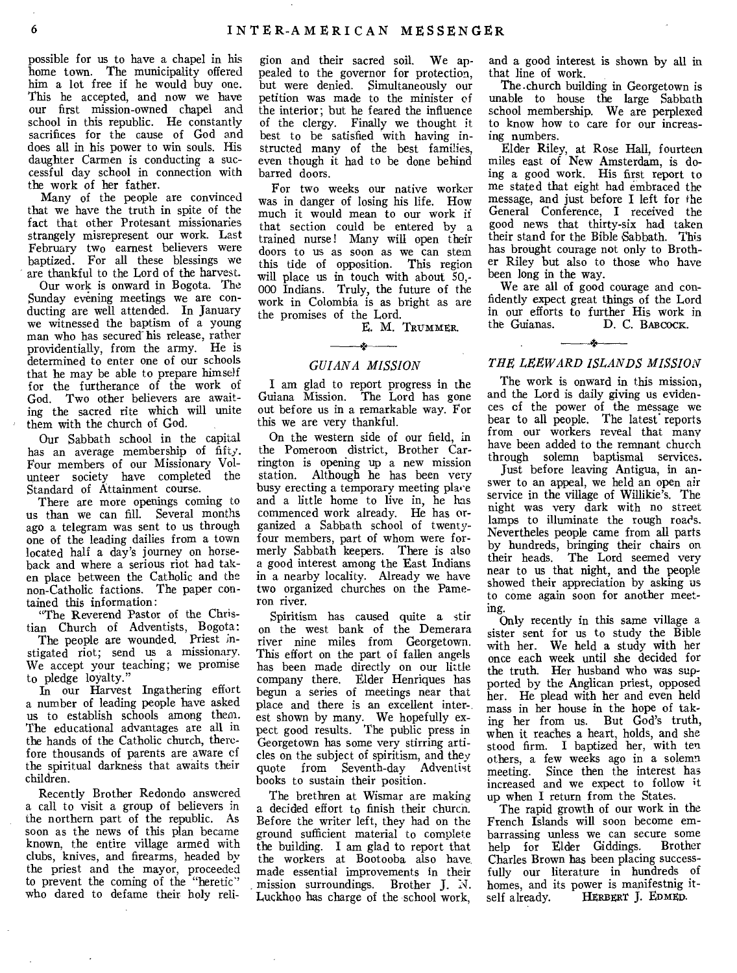possible for us to have a chapel in his home town. The municipality offered him a lot free if he would buy one. This he accepted, and now we have our first mission-owned chapel and school in this republic. He constantly sacrifices for the cause of God and does all in his power to win souls. His daughter Carmen is conducting a successful day school in connection with the work of her father.

Many of the people are convinced that we have the truth in spite of the fact that other Protesant missionaries strangely misrepresent our work. Last February two earnest believers were baptized. For all these blessings we are thankful to the Lord of the harvest.

Our work is onward in Bogota. The Sunday evening meetings we are conducting are well attended. In January we witnessed the baptism of a young man who has secured his release, rather providentially, from the army. He is determined to enter one of our schools that he may be able to prepare himself for the furtherance of the work of God. Two other believers are awaiting the sacred rite which will unite them with the church of God.

Our Sabbath school in the capital has an average membership of fifty. Four members of our Missionary Volunteer society have completed the Standard of Attainment course.

There are more openings coming to us than we can fill. Several months ago a telegram was sent to us through one of the leading dailies from a town located half a day's journey on horseback and where a serious riot had taken place between the Catholic and the non-Catholic factions. The paper contained this information:

"The Reverend Pastor of the Christian Church of Adventists, Bogota:

The people are wounded. Priest instigated riot; send us a missionary. We accept your teaching; we promise to pledge loyalty."

In our Harvest Ingathering effort a number of leading people have asked us to establish schools among them. The educational advantages are all in the hands of the Catholic church, therefore thousands of parents are aware of the spiritual darkness that awaits their children.

Recently Brother Redondo answered a call to visit a group of believers in the northern part of the republic. As soon as the news of this plan became known, the entire village armed with clubs, knives, and firearms, headed by the priest and the mayor, proceeded to prevent the coming of the "heretic" who dared to defame their holy reli-

gion and their sacred soil. We appealed to the governor for protection, but were denied. Simultaneously our petition was made to the minister of the interior; but he feared the influence of the clergy. Finally we thought it best to be satisfied with having instructed many of the best families, even though it had to be done behind barred doors.

For two weeks our native worker was in danger of losing his life. How much it would mean to our work if that section could be entered by a trained nurse! Many will open their doors to us as soon as we can stem this tide of opposition. This region will place us in touch with about 50,-000 Indians. Truly, the future of the work in Colombia is as bright as are the promises of the Lord.

E. M. TRUMMER.

# $\rightarrow$ *GUIANA MISSION*

I am glad to report progress in the Guiana Mission. The Lord has gone out before us in a remarkable way. For this we are very thankful.

On the western side of our field, in the Pomeroon district, Brother Carrington is opening up a new mission station. Although he has been very busy erecting a temporary meeting place and a little home to live in, he has commenced work already. He has organized a Sabbath school of twentyfour members, part of whom were formerly Sabbath keepers. There is also a good interest among the East Indians in a nearby locality. Already we have two organized churches on the Pameron river.

Spiritism has caused quite a stir on the west bank of the Demerara river nine miles from Georgetown. This effort on the part of fallen angels has been made directly on our little company there. Elder Henriques has begun a series of meetings near that place and there is an excellent inter-. est shown by many. We hopefully expect good results. The public press in Georgetown has some very stirring articles on the subject of spiritism, and they quote from Seventh-day Adventist books to sustain their position.

The brethren at Wismar are making a decided effort to finish their church. Before the writer left, they had on the ground sufficient material to complete the building. I am glad to report that the workers at Bootooba also have made essential improvements in their mission surroundings. Brother J. *N.*  Luckhoo has charge of the school work,

and a good interest is shown by all in that line of work.

The.church building in Georgetown is unable to house the large Sabbath school membership. We are perplexed to know how to care for our increasing numbers.

Elder Riley, at Rose Hall, fourteen miles east of New Amsterdam, is doing a good work. His first report to me stated that eight had embraced the message, and just before I left for the General Conference, I received the good news that thirty-six had taken their stand for the Bible Sabbath. This has brought courage not only to Brother Riley but also to those who have been long in the way.

We are all of good courage and confidently expect great things of the Lord in our efforts to further His work in the Guianas. D. C. BABCOCK.

# $\mathbf{r}$ *THE LEEWARD ISLANDS MISSION*

The work is onward in this mission, and the Lord is daily giving us evidences of the power of the message we bear to all people. The latest reports from our workers reveal that many have been added to the remnant church through solemn baptismal services.

Just before leaving Antigua, in answer to an appeal, we held an open air service in the village of Willikie's. The night was very dark with no street lamps to illuminate the rough roads. Nevertheles people came from all parts by hundreds, bringing their chairs on their heads. The Lord seemed very near to us that night, and the people showed their appreciation by asking us to come again soon for another meeting.

Only recently in this same village a sister sent for us to study the Bible with her. We held a study with her once each week until she decided for the truth. Her husband who was supported by the Anglican priest, opposed her. He plead with her and even held mass in her house in the hope of taking her from us. But God's truth, when it reaches a heart, holds, and she stood firm. I baptized her, with ten others, a few weeks ago in a solemn meeting. Since then the interest has increased and we expect to follow it up when I return from the States.

The rapid growth of our work in the French Islands will soon become embarrassing unless we can secure some<br>help for Elder Giddings. Brother help for Elder Giddings. Charles Brown has been placing successfully our literature in hundreds of homes, and its power is manifestnig it-<br>self already. HERBERT J. EDMED. HERBERT J. EDMED.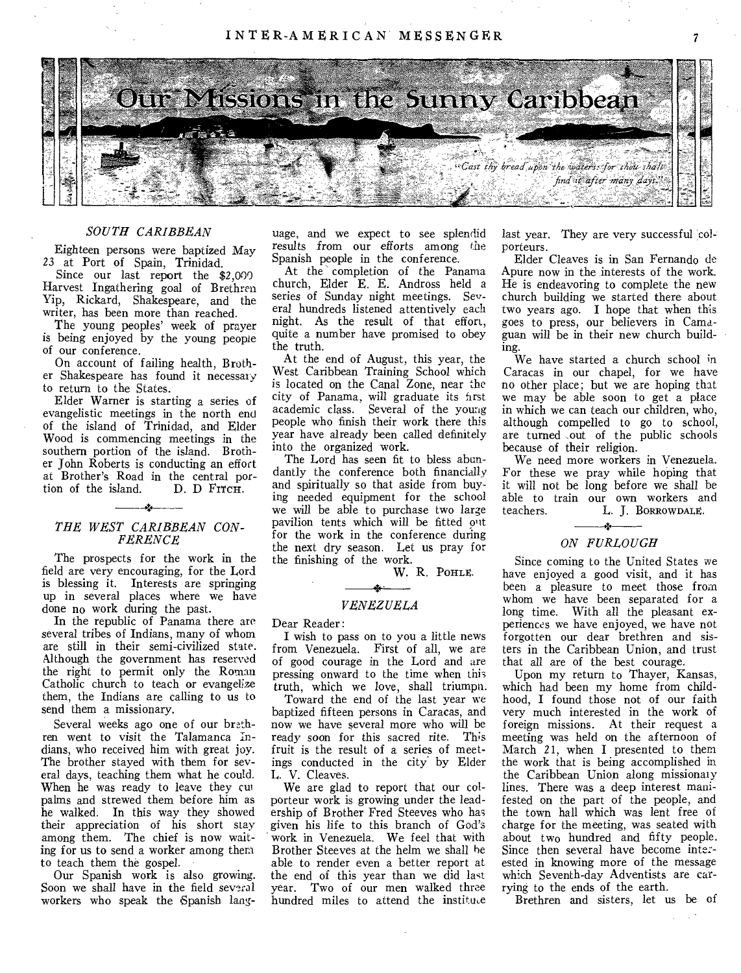INTER-AMERICAN MESSENGER



## *SOUTH CARIBBEAN*

Eighteen persons were baptized May 23 at Port of Spain, Trinidad.

Since our last report the \$2,000 Harvest Ingathering goal of Brethren Yip, Rickard, Shakespeare, and the writer, has been more than reached.

The young peoples' week of prayer is being enjoyed by the young people of our conference.

On account of failing health, Brother Shakespeare has found it necessary to return to the States.

Elder Warner is starting a series of evangelistic meetings in the north end of the island of Trinidad, and Elder Wood is commencing meetings in the southern portion of the island. Brother John Roberts is conducting an effort at Brother's Road in the central portion of the island. *•* 

#### *THE WEST CARIBBEAN CON-FERENCE*

The prospects for the work in the field are very encouraging, for the Lord is blessing it. Interests are springing up in several places where we have done no work during the past.

In the republic of Panama there are several tribes of Indians, many of whom are still in their semi-civilized state. Although the government has reserved the right to permit only the Roman Catholic church to teach or evangelize them, the Indians are calling to us to send them a missionary.

Several weeks ago one of our brethren went to visit the Talamanca Indians, who received him with great joy. The brother stayed with them for several days, teaching them what he could. When he was ready to leave they cut palms and strewed them before him as he walked. In this way they showed their appreciation of his short stay among them. The chief is now waiting for us to send a worker among them to teach them the gospel.

Our Spanish work is also growing. Soon we shall have in the field several workers who speak the Spanish language, and we expect to see splendid results from our efforts among the Spanish people in the conference.

At the completion of the Panama church, Elder E. E. Andross held a series of Sunday night meetings. Several hundreds listened attentively each night. As the result of that effort, quite a number have promised to obey the truth.

At the end of August, this year, the West Caribbean Training School which is located on the Canal Zone, near the city of Panama, will graduate its first academic class. Several of the young people who finish their work there this year have already been called definitely into the organized work.

The Lord has seen fit to bless abundantly the conference both financially and spiritually so that aside from buying needed equipment for the school we will be able to purchase two large pavilion tents which will be fitted out for the work in the conference during the next dry season. Let us pray for the finishing of the work.

W. R. PoHLE.

# *\$.*

*VENEZUELA* 

Dear Reader:

I wish to pass on to you a little news from Venezuela. First of all, we are of good courage in the Lord and are pressing onward to the time when this truth, which we love, shall triumph.

Toward the end of the last year we baptized fifteen persons in Caracas, and now we have several more who will be ready soon for this sacred rite. This fruit is the result of a series of meetings conducted in the city by Elder L. V. Cleaves.

We are glad to report that our colporteur work is growing under the leadership of Brother Fred Steeves who has given his life to this branch of God's work in Venezuela. We feel that with Brother Steeves at the helm we shall he able to render even a better report at the end of this year than we did last year. Two of our men walked three hundred miles to attend the institute last year. They are very successful colporteurs.

 $\overline{7}$ 

Elder Cleaves is in San Fernando de Apure now in the interests of the work. He is endeavoring to complete the new church building we started there about two years ago. I hope that when this goes to press, our believers in Camaguan will be in their new church building.

We have started a church school in Caracas in our chapel, for we have no other place; but we are hoping that we may be able soon to get a place in which we can teach our children, who, although compelled to go to school, are turned ,out of the public schools because of their religion.

We need more workers in Venezuela. For these we pray while hoping that it will not be long before we shall be able to train our own workers and<br>teachers. L. L. BORROWDALE. teachers. L. J. BORROWDALE.

# *ON FURLOUGH*

Since coming to the United States we have enjoyed a good visit, and it has been a pleasure to meet those from whom we have been separated for a long time. With all the pleasant experiences we have enjoyed, we have not forgotten our dear brethren and sisters in the Caribbean Union, and trust that all are of the best courage.

Upon my return to Thayer, Kansas, which had been my home from childhood, I found those not of our faith very much interested in the work of foreign missions. At their request a meeting was held on the afternoon of March 21, when I presented to them the work that is being accomplished in the Caribbean Union along missionary lines. There was a deep interest manifested on the part of the people, and the town hall which was lent free of charge for the meeting, was seated with about two hundred and fifty people. Since then several have become inte: ested in knowing more of the message which Seventh-day Adventists are carrying to the ends of the earth.

Brethren and sisters, let us be of